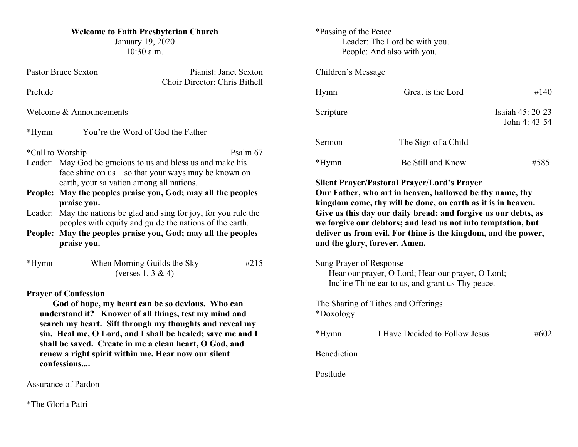### **Welcome to Faith Presbyterian Church**

January 19, 2020 10:30 a.m.

|                                                                                                                                                                                                     | <b>Pastor Bruce Sexton</b><br>Pianist: Janet Sexton<br>Choir Director: Chris Bithell                                                                                                                                                                                                                                                                                                                                                                                         |  |  |
|-----------------------------------------------------------------------------------------------------------------------------------------------------------------------------------------------------|------------------------------------------------------------------------------------------------------------------------------------------------------------------------------------------------------------------------------------------------------------------------------------------------------------------------------------------------------------------------------------------------------------------------------------------------------------------------------|--|--|
| Prelude                                                                                                                                                                                             |                                                                                                                                                                                                                                                                                                                                                                                                                                                                              |  |  |
|                                                                                                                                                                                                     | Welcome & Announcements                                                                                                                                                                                                                                                                                                                                                                                                                                                      |  |  |
| $*Hymn$                                                                                                                                                                                             | You're the Word of God the Father                                                                                                                                                                                                                                                                                                                                                                                                                                            |  |  |
| People:<br>Leader:                                                                                                                                                                                  | *Call to Worship<br>Psalm 67<br>Leader: May God be gracious to us and bless us and make his<br>face shine on us-so that your ways may be known on<br>earth, your salvation among all nations.<br>May the peoples praise you, God; may all the peoples<br>praise you.<br>May the nations be glad and sing for joy, for you rule the<br>peoples with equity and guide the nations of the earth.<br>People: May the peoples praise you, God; may all the peoples<br>praise you. |  |  |
| *Hymn                                                                                                                                                                                               | When Morning Guilds the Sky<br>#215<br>(verses $1, 3 \& 4$ )                                                                                                                                                                                                                                                                                                                                                                                                                 |  |  |
| <b>Prayer of Confession</b><br>God of hope, my heart can be so devious. Who can<br>understand it? Knower of all things, test my mind and<br>search my heart. Sift through my thoughts and reveal my |                                                                                                                                                                                                                                                                                                                                                                                                                                                                              |  |  |

**search my heart. Sift through my thoughts and reveal my sin. Heal me, O Lord, and I shall be healed; save me and I shall be saved. Create in me a clean heart, O God, and renew a right spirit within me. Hear now our silent confessions....** 

Assurance of Pardon

\*The Gloria Patri

## \*Passing of the Peace Leader: The Lord be with you. People: And also with you.

## Children's Message

| Hymn      | Great is the Lord   | #140                              |
|-----------|---------------------|-----------------------------------|
| Scripture |                     | Isaiah 45: 20-23<br>John 4: 43-54 |
| Sermon    | The Sign of a Child |                                   |
| *Hymn     | Be Still and Know   | #585                              |

**Silent Prayer/Pastoral Prayer/Lord's Prayer**

**Our Father, who art in heaven, hallowed be thy name, thy kingdom come, thy will be done, on earth as it is in heaven. Give us this day our daily bread; and forgive us our debts, as we forgive our debtors; and lead us not into temptation, but deliver us from evil. For thine is the kingdom, and the power, and the glory, forever. Amen.**

Sung Prayer of Response

Hear our prayer, O Lord; Hear our prayer, O Lord; Incline Thine ear to us, and grant us Thy peace.

The Sharing of Tithes and Offerings \*Doxology

| $*Hymn$     | I Have Decided to Follow Jesus | #602 |
|-------------|--------------------------------|------|
| Benediction |                                |      |
| Postlude    |                                |      |